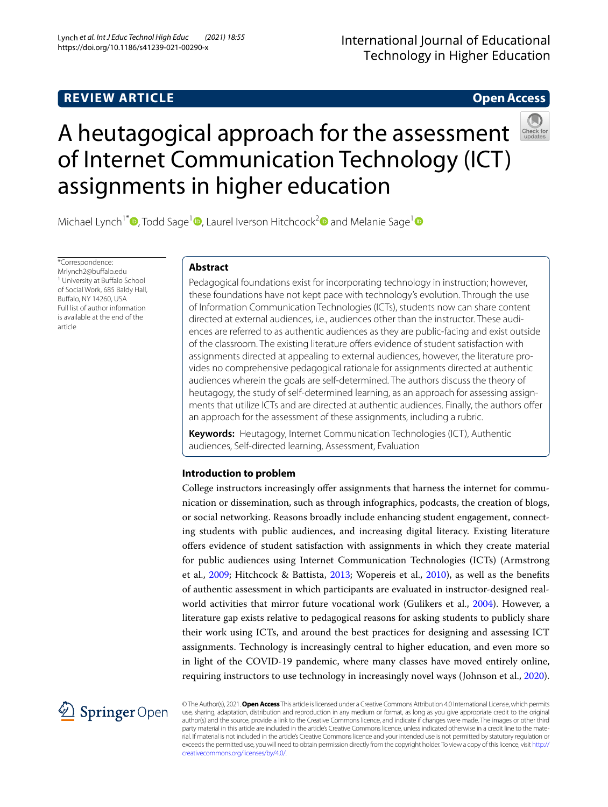# **REVIEW ARTICLE**

# **Open Access**



# A heutagogical approach for the assessment of Internet Communication Technology (ICT) assignments in higher education

Michael Lynch<sup>1[\\*](http://orcid.org/0000-0003-0332-0563)</sup> , Todd Sage<sup>[1](http://orcid.org/0000-0002-3385-9650)</sup> , Laurel Iverson Hitchcock<sup>[2](http://orcid.org/0000-0002-3062-9622)</sup> and Melanie Sage<sup>1</sup>

\*Correspondence: Mrlynch2@bufalo.edu <sup>1</sup> University at Buffalo School of Social Work, 685 Baldy Hall, Bufalo, NY 14260, USA Full list of author information is available at the end of the article

## **Abstract**

Pedagogical foundations exist for incorporating technology in instruction; however, these foundations have not kept pace with technology's evolution. Through the use of Information Communication Technologies (ICTs), students now can share content directed at external audiences, i.e., audiences other than the instructor. These audiences are referred to as authentic audiences as they are public-facing and exist outside of the classroom. The existing literature ofers evidence of student satisfaction with assignments directed at appealing to external audiences, however, the literature provides no comprehensive pedagogical rationale for assignments directed at authentic audiences wherein the goals are self-determined. The authors discuss the theory of heutagogy, the study of self-determined learning, as an approach for assessing assignments that utilize ICTs and are directed at authentic audiences. Finally, the authors ofer an approach for the assessment of these assignments, including a rubric.

**Keywords:** Heutagogy, Internet Communication Technologies (ICT), Authentic audiences, Self-directed learning, Assessment, Evaluation

## **Introduction to problem**

College instructors increasingly offer assignments that harness the internet for communication or dissemination, such as through infographics, podcasts, the creation of blogs, or social networking. Reasons broadly include enhancing student engagement, connecting students with public audiences, and increasing digital literacy. Existing literature ofers evidence of student satisfaction with assignments in which they create material for public audiences using Internet Communication Technologies (ICTs) (Armstrong et al., [2009](#page-15-0); Hitchcock & Battista, [2013](#page-15-0); Wopereis et al., [2010](#page-15-1)), as well as the benefts of authentic assessment in which participants are evaluated in instructor-designed real-world activities that mirror future vocational work (Gulikers et al., [2004\)](#page-14-0). However, a literature gap exists relative to pedagogical reasons for asking students to publicly share their work using ICTs, and around the best practices for designing and assessing ICT assignments. Technology is increasingly central to higher education, and even more so in light of the COVID-19 pandemic, where many classes have moved entirely online, requiring instructors to use technology in increasingly novel ways (Johnson et al., [2020](#page-15-2)).



© The Author(s), 2021. **Open Access** This article is licensed under a Creative Commons Attribution 4.0 International License, which permits use, sharing, adaptation, distribution and reproduction in any medium or format, as long as you give appropriate credit to the original author(s) and the source, provide a link to the Creative Commons licence, and indicate if changes were made. The images or other third party material in this article are included in the article's Creative Commons licence, unless indicated otherwise in a credit line to the material. If material is not included in the article's Creative Commons licence and your intended use is not permitted by statutory regulation or exceeds the permitted use, you will need to obtain permission directly from the copyright holder. To view a copy of this licence, visit [http://](http://creativecommons.org/licenses/by/4.0/) [creativecommons.org/licenses/by/4.0/.](http://creativecommons.org/licenses/by/4.0/)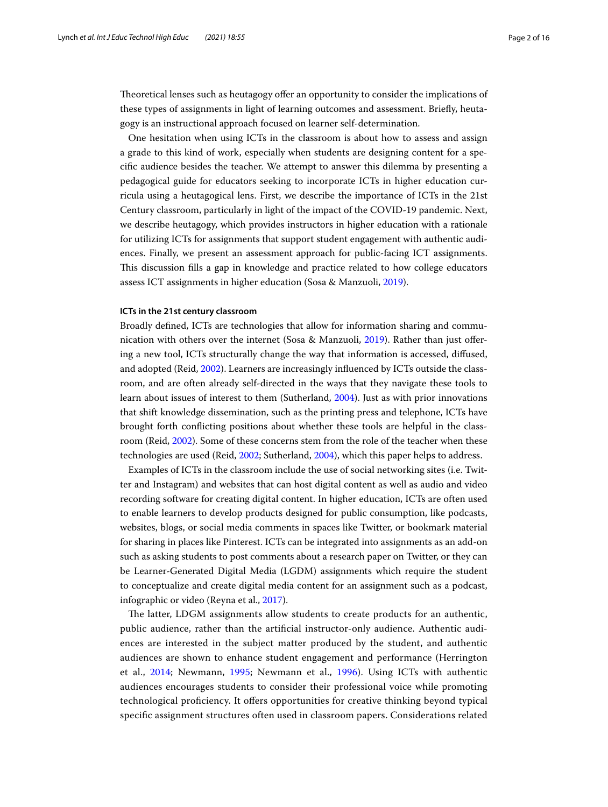Theoretical lenses such as heutagogy offer an opportunity to consider the implications of these types of assignments in light of learning outcomes and assessment. Briefy, heutagogy is an instructional approach focused on learner self-determination.

One hesitation when using ICTs in the classroom is about how to assess and assign a grade to this kind of work, especially when students are designing content for a specifc audience besides the teacher. We attempt to answer this dilemma by presenting a pedagogical guide for educators seeking to incorporate ICTs in higher education curricula using a heutagogical lens. First, we describe the importance of ICTs in the 21st Century classroom, particularly in light of the impact of the COVID-19 pandemic. Next, we describe heutagogy, which provides instructors in higher education with a rationale for utilizing ICTs for assignments that support student engagement with authentic audiences. Finally, we present an assessment approach for public-facing ICT assignments. Tis discussion flls a gap in knowledge and practice related to how college educators assess ICT assignments in higher education (Sosa & Manzuoli, [2019\)](#page-15-3).

## **ICTs in the 21st century classroom**

Broadly defned, ICTs are technologies that allow for information sharing and communication with others over the internet (Sosa & Manzuoli, [2019\)](#page-15-3). Rather than just ofering a new tool, ICTs structurally change the way that information is accessed, difused, and adopted (Reid, [2002](#page-15-4)). Learners are increasingly infuenced by ICTs outside the classroom, and are often already self-directed in the ways that they navigate these tools to learn about issues of interest to them (Sutherland, [2004](#page-15-5)). Just as with prior innovations that shift knowledge dissemination, such as the printing press and telephone, ICTs have brought forth conficting positions about whether these tools are helpful in the classroom (Reid, [2002](#page-15-4)). Some of these concerns stem from the role of the teacher when these technologies are used (Reid, [2002;](#page-15-4) Sutherland, [2004](#page-15-5)), which this paper helps to address.

Examples of ICTs in the classroom include the use of social networking sites (i.e. Twitter and Instagram) and websites that can host digital content as well as audio and video recording software for creating digital content. In higher education, ICTs are often used to enable learners to develop products designed for public consumption, like podcasts, websites, blogs, or social media comments in spaces like Twitter, or bookmark material for sharing in places like Pinterest. ICTs can be integrated into assignments as an add-on such as asking students to post comments about a research paper on Twitter, or they can be Learner-Generated Digital Media (LGDM) assignments which require the student to conceptualize and create digital media content for an assignment such as a podcast, infographic or video (Reyna et al., [2017\)](#page-15-6).

The latter, LDGM assignments allow students to create products for an authentic, public audience, rather than the artifcial instructor-only audience. Authentic audiences are interested in the subject matter produced by the student, and authentic audiences are shown to enhance student engagement and performance (Herrington et al., [2014](#page-14-1); Newmann, [1995](#page-15-7); Newmann et al., [1996](#page-15-8)). Using ICTs with authentic audiences encourages students to consider their professional voice while promoting technological profciency. It ofers opportunities for creative thinking beyond typical specifc assignment structures often used in classroom papers. Considerations related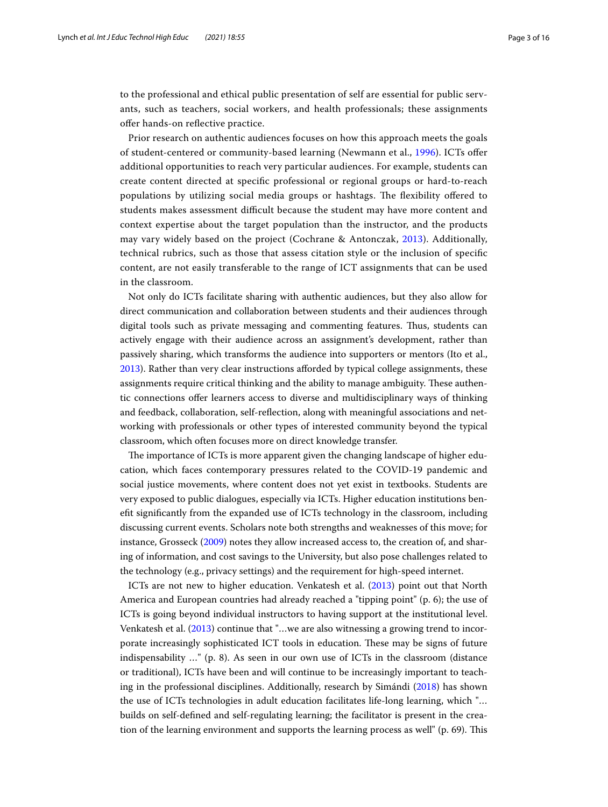to the professional and ethical public presentation of self are essential for public servants, such as teachers, social workers, and health professionals; these assignments ofer hands-on refective practice.

Prior research on authentic audiences focuses on how this approach meets the goals of student-centered or community-based learning (Newmann et al., [1996\)](#page-15-8). ICTs ofer additional opportunities to reach very particular audiences. For example, students can create content directed at specifc professional or regional groups or hard-to-reach populations by utilizing social media groups or hashtags. The flexibility offered to students makes assessment difficult because the student may have more content and context expertise about the target population than the instructor, and the products may vary widely based on the project (Cochrane & Antonczak, [2013](#page-14-2)). Additionally, technical rubrics, such as those that assess citation style or the inclusion of specifc content, are not easily transferable to the range of ICT assignments that can be used in the classroom.

Not only do ICTs facilitate sharing with authentic audiences, but they also allow for direct communication and collaboration between students and their audiences through digital tools such as private messaging and commenting features. Thus, students can actively engage with their audience across an assignment's development, rather than passively sharing, which transforms the audience into supporters or mentors (Ito et al., [2013](#page-15-9)). Rather than very clear instructions aforded by typical college assignments, these assignments require critical thinking and the ability to manage ambiguity. These authentic connections ofer learners access to diverse and multidisciplinary ways of thinking and feedback, collaboration, self-refection, along with meaningful associations and networking with professionals or other types of interested community beyond the typical classroom, which often focuses more on direct knowledge transfer.

The importance of ICTs is more apparent given the changing landscape of higher education, which faces contemporary pressures related to the COVID-19 pandemic and social justice movements, where content does not yet exist in textbooks. Students are very exposed to public dialogues, especially via ICTs. Higher education institutions beneft signifcantly from the expanded use of ICTs technology in the classroom, including discussing current events. Scholars note both strengths and weaknesses of this move; for instance, Grosseck [\(2009](#page-14-3)) notes they allow increased access to, the creation of, and sharing of information, and cost savings to the University, but also pose challenges related to the technology (e.g., privacy settings) and the requirement for high-speed internet.

ICTs are not new to higher education. Venkatesh et al. ([2013\)](#page-15-10) point out that North America and European countries had already reached a "tipping point" (p. 6); the use of ICTs is going beyond individual instructors to having support at the institutional level. Venkatesh et al. [\(2013](#page-15-10)) continue that "…we are also witnessing a growing trend to incorporate increasingly sophisticated ICT tools in education. These may be signs of future indispensability …" (p. 8). As seen in our own use of ICTs in the classroom (distance or traditional), ICTs have been and will continue to be increasingly important to teaching in the professional disciplines. Additionally, research by Simándi ([2018\)](#page-15-11) has shown the use of ICTs technologies in adult education facilitates life-long learning, which "… builds on self-defned and self-regulating learning; the facilitator is present in the creation of the learning environment and supports the learning process as well" (p. 69). Tis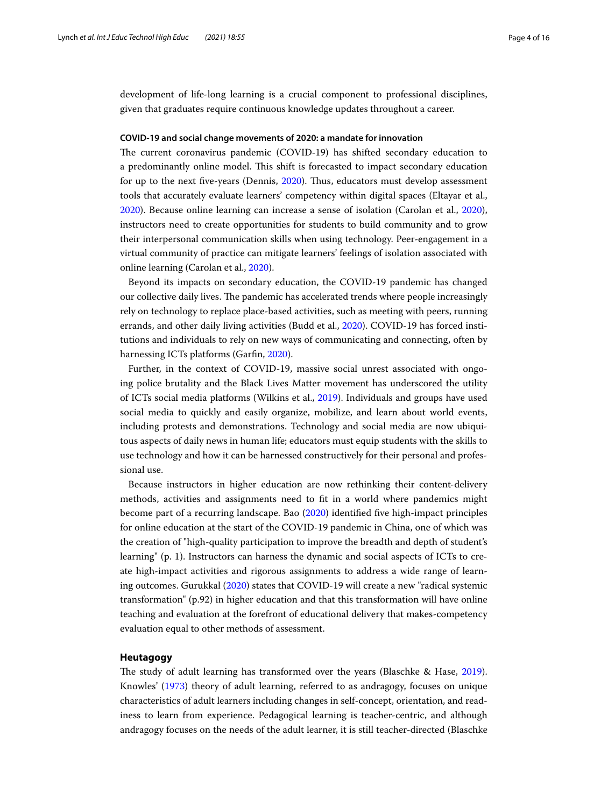development of life-long learning is a crucial component to professional disciplines, given that graduates require continuous knowledge updates throughout a career.

## **COVID‑19 and social change movements of 2020: a mandate for innovation**

The current coronavirus pandemic (COVID-19) has shifted secondary education to a predominantly online model. This shift is forecasted to impact secondary education for up to the next five-years (Dennis, [2020](#page-14-4)). Thus, educators must develop assessment tools that accurately evaluate learners' competency within digital spaces (Eltayar et al., [2020](#page-14-5)). Because online learning can increase a sense of isolation (Carolan et al., [2020](#page-14-6)), instructors need to create opportunities for students to build community and to grow their interpersonal communication skills when using technology. Peer-engagement in a virtual community of practice can mitigate learners' feelings of isolation associated with online learning (Carolan et al., [2020](#page-14-6)).

Beyond its impacts on secondary education, the COVID-19 pandemic has changed our collective daily lives. The pandemic has accelerated trends where people increasingly rely on technology to replace place-based activities, such as meeting with peers, running errands, and other daily living activities (Budd et al., [2020\)](#page-14-7). COVID-19 has forced institutions and individuals to rely on new ways of communicating and connecting, often by harnessing ICTs platforms (Garfin, [2020\)](#page-14-8).

Further, in the context of COVID-19, massive social unrest associated with ongoing police brutality and the Black Lives Matter movement has underscored the utility of ICTs social media platforms (Wilkins et al., [2019\)](#page-15-12). Individuals and groups have used social media to quickly and easily organize, mobilize, and learn about world events, including protests and demonstrations. Technology and social media are now ubiquitous aspects of daily news in human life; educators must equip students with the skills to use technology and how it can be harnessed constructively for their personal and professional use.

Because instructors in higher education are now rethinking their content-delivery methods, activities and assignments need to ft in a world where pandemics might become part of a recurring landscape. Bao [\(2020](#page-14-9)) identifed fve high-impact principles for online education at the start of the COVID-19 pandemic in China, one of which was the creation of "high-quality participation to improve the breadth and depth of student's learning" (p. 1). Instructors can harness the dynamic and social aspects of ICTs to create high-impact activities and rigorous assignments to address a wide range of learning outcomes. Gurukkal ([2020](#page-14-10)) states that COVID-19 will create a new "radical systemic transformation" (p.92) in higher education and that this transformation will have online teaching and evaluation at the forefront of educational delivery that makes-competency evaluation equal to other methods of assessment.

#### **Heutagogy**

The study of adult learning has transformed over the years (Blaschke & Hase, [2019](#page-14-11)). Knowles' [\(1973](#page-15-13)) theory of adult learning, referred to as andragogy, focuses on unique characteristics of adult learners including changes in self-concept, orientation, and readiness to learn from experience. Pedagogical learning is teacher-centric, and although andragogy focuses on the needs of the adult learner, it is still teacher-directed (Blaschke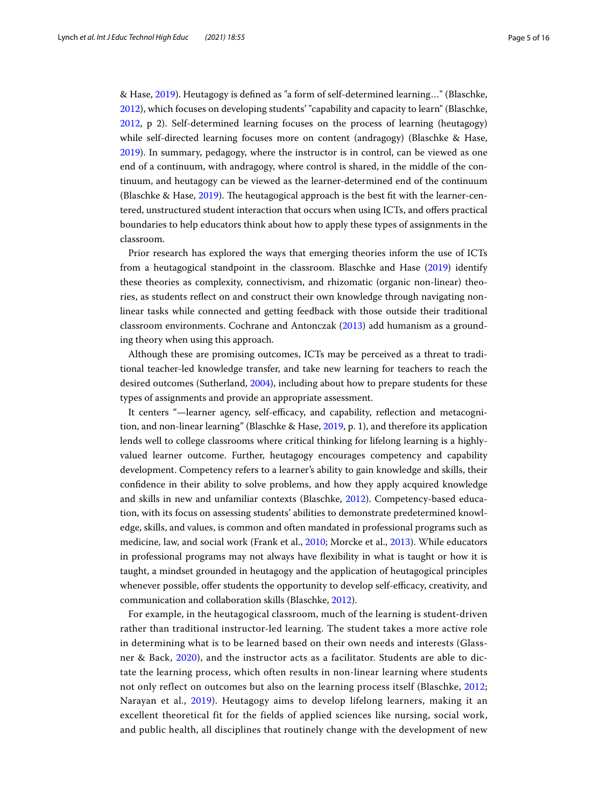& Hase, [2019\)](#page-14-11). Heutagogy is defned as "a form of self-determined learning…" (Blaschke, [2012](#page-14-12)), which focuses on developing students' "capability and capacity to learn" (Blaschke, [2012](#page-14-12), p 2). Self-determined learning focuses on the process of learning (heutagogy) while self-directed learning focuses more on content (andragogy) (Blaschke & Hase, [2019](#page-14-11)). In summary, pedagogy, where the instructor is in control, can be viewed as one end of a continuum, with andragogy, where control is shared, in the middle of the continuum, and heutagogy can be viewed as the learner-determined end of the continuum (Blaschke & Hase, [2019](#page-14-11)). The heutagogical approach is the best fit with the learner-centered, unstructured student interaction that occurs when using ICTs, and ofers practical boundaries to help educators think about how to apply these types of assignments in the classroom.

Prior research has explored the ways that emerging theories inform the use of ICTs from a heutagogical standpoint in the classroom. Blaschke and Hase [\(2019\)](#page-14-11) identify these theories as complexity, connectivism, and rhizomatic (organic non-linear) theories, as students refect on and construct their own knowledge through navigating nonlinear tasks while connected and getting feedback with those outside their traditional classroom environments. Cochrane and Antonczak ([2013](#page-14-2)) add humanism as a grounding theory when using this approach.

Although these are promising outcomes, ICTs may be perceived as a threat to traditional teacher-led knowledge transfer, and take new learning for teachers to reach the desired outcomes (Sutherland, [2004\)](#page-15-5), including about how to prepare students for these types of assignments and provide an appropriate assessment.

It centers "-learner agency, self-efficacy, and capability, reflection and metacognition, and non-linear learning" (Blaschke & Hase, [2019](#page-14-11), p. 1), and therefore its application lends well to college classrooms where critical thinking for lifelong learning is a highlyvalued learner outcome. Further, heutagogy encourages competency and capability development. Competency refers to a learner's ability to gain knowledge and skills, their confdence in their ability to solve problems, and how they apply acquired knowledge and skills in new and unfamiliar contexts (Blaschke, [2012](#page-14-12)). Competency-based education, with its focus on assessing students' abilities to demonstrate predetermined knowledge, skills, and values, is common and often mandated in professional programs such as medicine, law, and social work (Frank et al., [2010;](#page-14-13) Morcke et al., [2013](#page-15-14)). While educators in professional programs may not always have fexibility in what is taught or how it is taught, a mindset grounded in heutagogy and the application of heutagogical principles whenever possible, offer students the opportunity to develop self-efficacy, creativity, and communication and collaboration skills (Blaschke, [2012\)](#page-14-12).

For example, in the heutagogical classroom, much of the learning is student-driven rather than traditional instructor-led learning. The student takes a more active role in determining what is to be learned based on their own needs and interests (Glassner & Back, [2020](#page-14-14)), and the instructor acts as a facilitator. Students are able to dictate the learning process, which often results in non-linear learning where students not only reflect on outcomes but also on the learning process itself (Blaschke, [2012](#page-14-12); Narayan et al., [2019\)](#page-15-15). Heutagogy aims to develop lifelong learners, making it an excellent theoretical fit for the fields of applied sciences like nursing, social work, and public health, all disciplines that routinely change with the development of new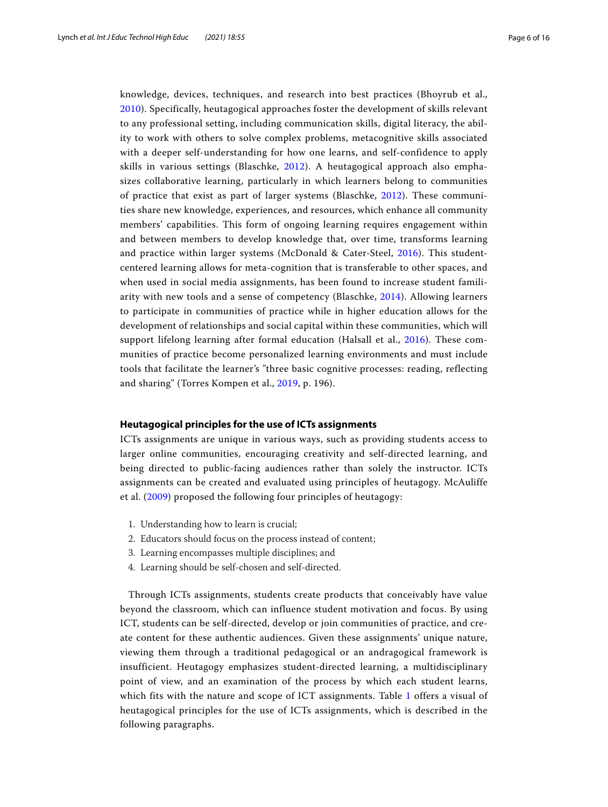knowledge, devices, techniques, and research into best practices (Bhoyrub et al., [2010](#page-14-15)). Specifically, heutagogical approaches foster the development of skills relevant to any professional setting, including communication skills, digital literacy, the ability to work with others to solve complex problems, metacognitive skills associated with a deeper self-understanding for how one learns, and self-confidence to apply skills in various settings (Blaschke, [2012\)](#page-14-12). A heutagogical approach also emphasizes collaborative learning, particularly in which learners belong to communities of practice that exist as part of larger systems (Blaschke, [2012\)](#page-14-12). These communities share new knowledge, experiences, and resources, which enhance all community members' capabilities. This form of ongoing learning requires engagement within and between members to develop knowledge that, over time, transforms learning and practice within larger systems (McDonald & Cater-Steel, [2016\)](#page-15-16). This studentcentered learning allows for meta-cognition that is transferable to other spaces, and when used in social media assignments, has been found to increase student familiarity with new tools and a sense of competency (Blaschke, [2014\)](#page-14-16). Allowing learners to participate in communities of practice while in higher education allows for the development of relationships and social capital within these communities, which will support lifelong learning after formal education (Halsall et al., [2016\)](#page-14-17). These communities of practice become personalized learning environments and must include tools that facilitate the learner's "three basic cognitive processes: reading, reflecting and sharing" (Torres Kompen et al., [2019,](#page-15-17) p. 196).

#### **Heutagogical principles for the use of ICTs assignments**

ICTs assignments are unique in various ways, such as providing students access to larger online communities, encouraging creativity and self-directed learning, and being directed to public-facing audiences rather than solely the instructor. ICTs assignments can be created and evaluated using principles of heutagogy. McAuliffe et al. ([2009](#page-15-18)) proposed the following four principles of heutagogy:

- 1. Understanding how to learn is crucial;
- 2. Educators should focus on the process instead of content;
- 3. Learning encompasses multiple disciplines; and
- 4. Learning should be self-chosen and self-directed.

Through ICTs assignments, students create products that conceivably have value beyond the classroom, which can influence student motivation and focus. By using ICT, students can be self-directed, develop or join communities of practice, and create content for these authentic audiences. Given these assignments' unique nature, viewing them through a traditional pedagogical or an andragogical framework is insufficient. Heutagogy emphasizes student-directed learning, a multidisciplinary point of view, and an examination of the process by which each student learns, which fits with the nature and scope of ICT assignments. Table [1](#page-6-0) offers a visual of heutagogical principles for the use of ICTs assignments, which is described in the following paragraphs.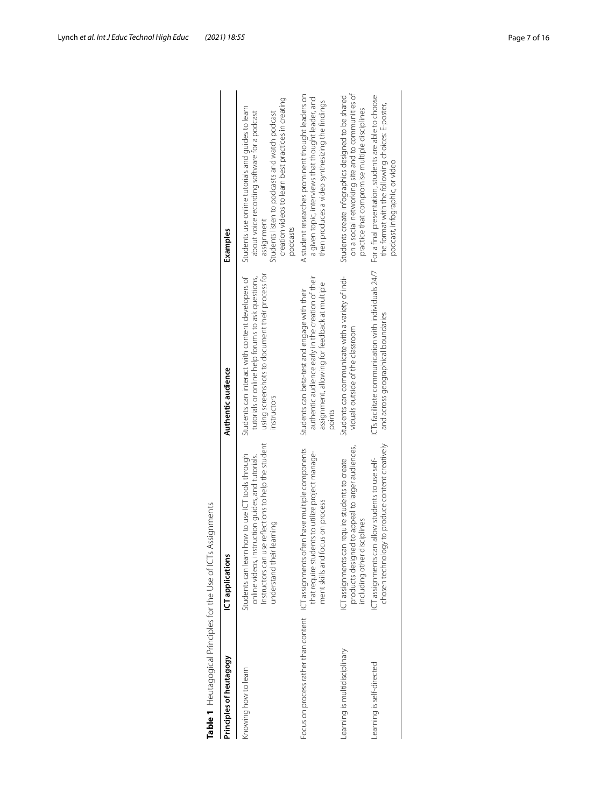| Principles of heutagogy      | ICT applications                                                                                                                                                                         | Authentic audience                                                                                                                                                      | Examples                                                                                                                                                                                                                            |
|------------------------------|------------------------------------------------------------------------------------------------------------------------------------------------------------------------------------------|-------------------------------------------------------------------------------------------------------------------------------------------------------------------------|-------------------------------------------------------------------------------------------------------------------------------------------------------------------------------------------------------------------------------------|
| Knowing how to learn         | Instructors can use reflections to help the student<br>Students can learn how to use ICT tools through<br>online videos, instruction guides, and tutorials.<br>understand their learning | using screenshots to document their process for<br>Students can interact with content developers of<br>tutorials or online help forums to ask questions,<br>instructors | creation videos to learn best practices in creating<br>Students use online tutorials and quides to learn<br>about voice recording software for a podcast<br>Students listen to podcasts and watch podcast<br>assignment<br>podcasts |
|                              | Focus on process rather than content ICT assignments often have multiple components<br>that require students to utilize project manage-<br>ment skills and focus on process              | authentic audience early in the creation of their<br>assignment, allowing for feedback at multiple<br>Students can beta-test and engage with their<br>points            | A student researches prominent thought leaders on<br>a given topic, interviews that thought leader, and<br>then produces a video synthesizing the findings                                                                          |
| earning is multidisciplinary | products designed to appeal to larger audiences,<br>ICT assignments can require students to create<br>including other disciplines                                                        | Students can communicate with a variety of indi-<br>viduals outside of the classroom                                                                                    | on a social networking site and to communities of<br>Students create infographics designed to be shared<br>practice that compromise multiple disciplines                                                                            |
| earning is self-directed     | chosen technology to produce content creatively<br>ICT assignments can allow students to use self-                                                                                       | ICTs facilitate communication with individuals 24/7<br>and across geographical boundaries                                                                               | For a final presentation, students are able to choose<br>the format with the following choices: E-poster,<br>podcast, infographic, or video                                                                                         |

<span id="page-6-0"></span>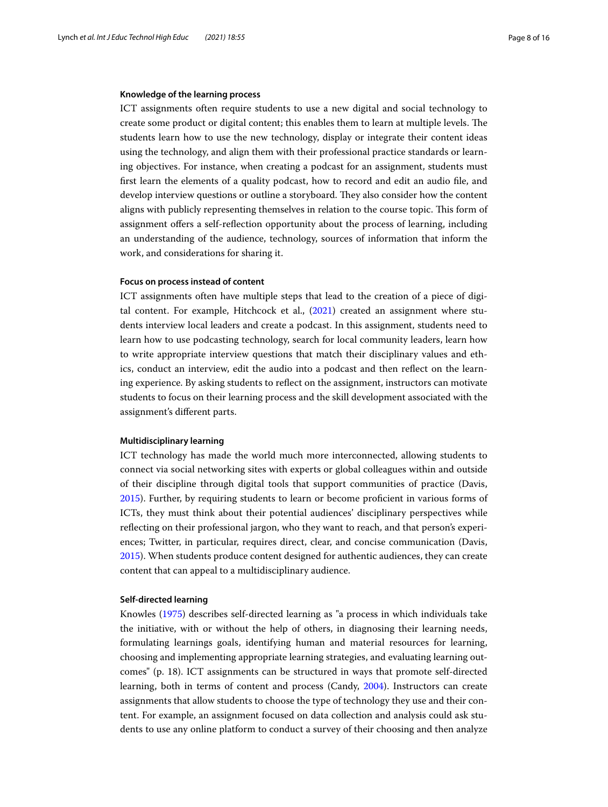#### **Knowledge of the learning process**

ICT assignments often require students to use a new digital and social technology to create some product or digital content; this enables them to learn at multiple levels. The students learn how to use the new technology, display or integrate their content ideas using the technology, and align them with their professional practice standards or learning objectives. For instance, when creating a podcast for an assignment, students must frst learn the elements of a quality podcast, how to record and edit an audio fle, and develop interview questions or outline a storyboard. They also consider how the content aligns with publicly representing themselves in relation to the course topic. This form of assignment ofers a self-refection opportunity about the process of learning, including an understanding of the audience, technology, sources of information that inform the work, and considerations for sharing it.

#### **Focus on process instead of content**

ICT assignments often have multiple steps that lead to the creation of a piece of digital content. For example, Hitchcock et al., [\(2021\)](#page-15-19) created an assignment where students interview local leaders and create a podcast. In this assignment, students need to learn how to use podcasting technology, search for local community leaders, learn how to write appropriate interview questions that match their disciplinary values and ethics, conduct an interview, edit the audio into a podcast and then refect on the learning experience. By asking students to refect on the assignment, instructors can motivate students to focus on their learning process and the skill development associated with the assignment's diferent parts.

#### **Multidisciplinary learning**

ICT technology has made the world much more interconnected, allowing students to connect via social networking sites with experts or global colleagues within and outside of their discipline through digital tools that support communities of practice (Davis, [2015](#page-14-18)). Further, by requiring students to learn or become profcient in various forms of ICTs, they must think about their potential audiences' disciplinary perspectives while refecting on their professional jargon, who they want to reach, and that person's experiences; Twitter, in particular, requires direct, clear, and concise communication (Davis, [2015](#page-14-18)). When students produce content designed for authentic audiences, they can create content that can appeal to a multidisciplinary audience.

## **Self‑directed learning**

Knowles [\(1975\)](#page-15-20) describes self-directed learning as "a process in which individuals take the initiative, with or without the help of others, in diagnosing their learning needs, formulating learnings goals, identifying human and material resources for learning, choosing and implementing appropriate learning strategies, and evaluating learning outcomes" (p. 18). ICT assignments can be structured in ways that promote self-directed learning, both in terms of content and process (Candy, [2004\)](#page-14-19). Instructors can create assignments that allow students to choose the type of technology they use and their content. For example, an assignment focused on data collection and analysis could ask students to use any online platform to conduct a survey of their choosing and then analyze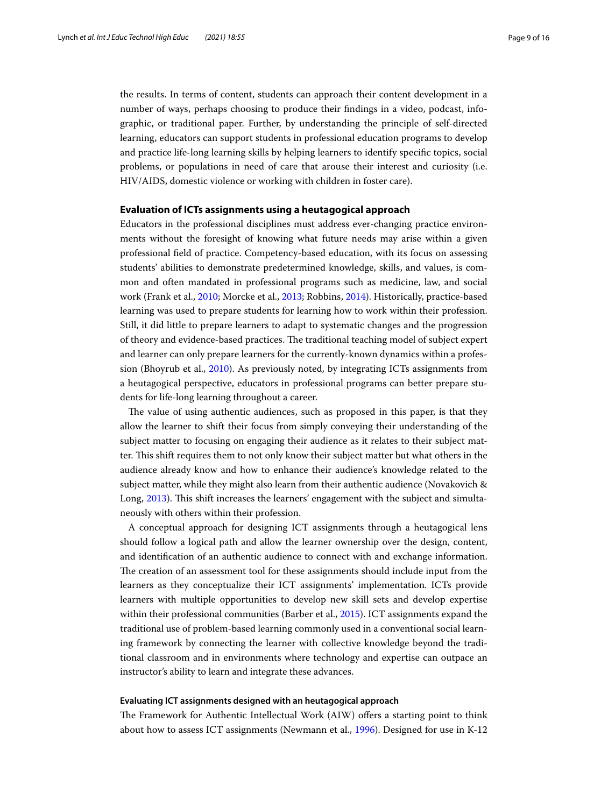the results. In terms of content, students can approach their content development in a number of ways, perhaps choosing to produce their fndings in a video, podcast, infographic, or traditional paper. Further, by understanding the principle of self-directed learning, educators can support students in professional education programs to develop and practice life-long learning skills by helping learners to identify specifc topics, social problems, or populations in need of care that arouse their interest and curiosity (i.e. HIV/AIDS, domestic violence or working with children in foster care).

#### **Evaluation of ICTs assignments using a heutagogical approach**

Educators in the professional disciplines must address ever-changing practice environments without the foresight of knowing what future needs may arise within a given professional feld of practice. Competency-based education, with its focus on assessing students' abilities to demonstrate predetermined knowledge, skills, and values, is common and often mandated in professional programs such as medicine, law, and social work (Frank et al., [2010;](#page-14-13) Morcke et al., [2013;](#page-15-14) Robbins, [2014](#page-15-21)). Historically, practice-based learning was used to prepare students for learning how to work within their profession. Still, it did little to prepare learners to adapt to systematic changes and the progression of theory and evidence-based practices. The traditional teaching model of subject expert and learner can only prepare learners for the currently-known dynamics within a profession (Bhoyrub et al., [2010](#page-14-15)). As previously noted, by integrating ICTs assignments from a heutagogical perspective, educators in professional programs can better prepare students for life-long learning throughout a career.

The value of using authentic audiences, such as proposed in this paper, is that they allow the learner to shift their focus from simply conveying their understanding of the subject matter to focusing on engaging their audience as it relates to their subject matter. This shift requires them to not only know their subject matter but what others in the audience already know and how to enhance their audience's knowledge related to the subject matter, while they might also learn from their authentic audience (Novakovich & Long, [2013](#page-15-22)). This shift increases the learners' engagement with the subject and simultaneously with others within their profession.

A conceptual approach for designing ICT assignments through a heutagogical lens should follow a logical path and allow the learner ownership over the design, content, and identifcation of an authentic audience to connect with and exchange information. The creation of an assessment tool for these assignments should include input from the learners as they conceptualize their ICT assignments' implementation. ICTs provide learners with multiple opportunities to develop new skill sets and develop expertise within their professional communities (Barber et al., [2015\)](#page-14-20). ICT assignments expand the traditional use of problem-based learning commonly used in a conventional social learning framework by connecting the learner with collective knowledge beyond the traditional classroom and in environments where technology and expertise can outpace an instructor's ability to learn and integrate these advances.

#### **Evaluating ICT assignments designed with an heutagogical approach**

The Framework for Authentic Intellectual Work (AIW) offers a starting point to think about how to assess ICT assignments (Newmann et al., [1996](#page-15-8)). Designed for use in K-12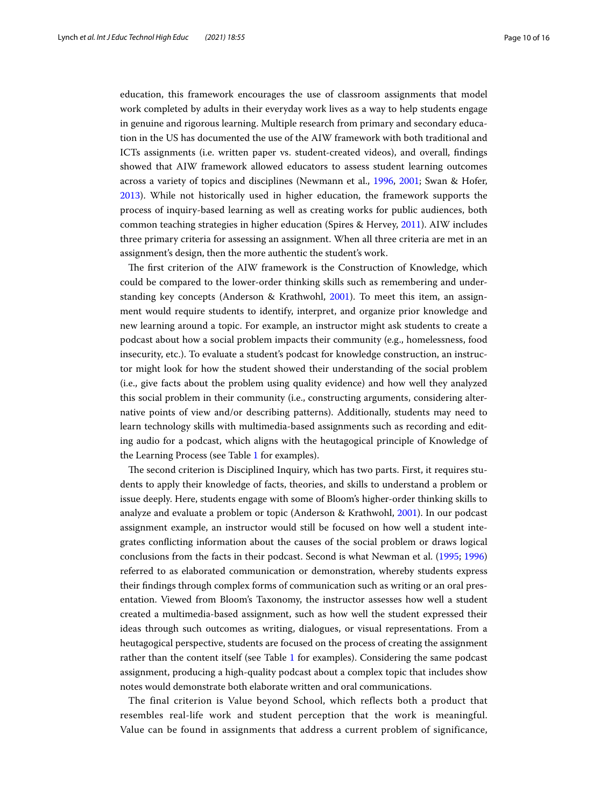education, this framework encourages the use of classroom assignments that model work completed by adults in their everyday work lives as a way to help students engage in genuine and rigorous learning. Multiple research from primary and secondary education in the US has documented the use of the AIW framework with both traditional and ICTs assignments (i.e. written paper vs. student-created videos), and overall, fndings showed that AIW framework allowed educators to assess student learning outcomes across a variety of topics and disciplines (Newmann et al., [1996,](#page-15-8) [2001;](#page-15-23) Swan & Hofer, [2013](#page-15-24)). While not historically used in higher education, the framework supports the process of inquiry-based learning as well as creating works for public audiences, both common teaching strategies in higher education (Spires & Hervey, [2011\)](#page-15-25). AIW includes three primary criteria for assessing an assignment. When all three criteria are met in an assignment's design, then the more authentic the student's work.

The first criterion of the AIW framework is the Construction of Knowledge, which could be compared to the lower-order thinking skills such as remembering and understanding key concepts (Anderson & Krathwohl, [2001\)](#page-15-0). To meet this item, an assignment would require students to identify, interpret, and organize prior knowledge and new learning around a topic. For example, an instructor might ask students to create a podcast about how a social problem impacts their community (e.g., homelessness, food insecurity, etc.). To evaluate a student's podcast for knowledge construction, an instructor might look for how the student showed their understanding of the social problem (i.e., give facts about the problem using quality evidence) and how well they analyzed this social problem in their community (i.e., constructing arguments, considering alternative points of view and/or describing patterns). Additionally, students may need to learn technology skills with multimedia-based assignments such as recording and editing audio for a podcast, which aligns with the heutagogical principle of Knowledge of the Learning Process (see Table [1](#page-6-0) for examples).

The second criterion is Disciplined Inquiry, which has two parts. First, it requires students to apply their knowledge of facts, theories, and skills to understand a problem or issue deeply. Here, students engage with some of Bloom's higher-order thinking skills to analyze and evaluate a problem or topic (Anderson & Krathwohl, [2001\)](#page-15-0). In our podcast assignment example, an instructor would still be focused on how well a student integrates conficting information about the causes of the social problem or draws logical conclusions from the facts in their podcast. Second is what Newman et al. [\(1995;](#page-15-7) [1996](#page-15-8)) referred to as elaborated communication or demonstration, whereby students express their fndings through complex forms of communication such as writing or an oral presentation. Viewed from Bloom's Taxonomy, the instructor assesses how well a student created a multimedia-based assignment, such as how well the student expressed their ideas through such outcomes as writing, dialogues, or visual representations. From a heutagogical perspective, students are focused on the process of creating the assignment rather than the content itself (see Table [1](#page-6-0) for examples). Considering the same podcast assignment, producing a high-quality podcast about a complex topic that includes show notes would demonstrate both elaborate written and oral communications.

The final criterion is Value beyond School, which reflects both a product that resembles real-life work and student perception that the work is meaningful. Value can be found in assignments that address a current problem of significance,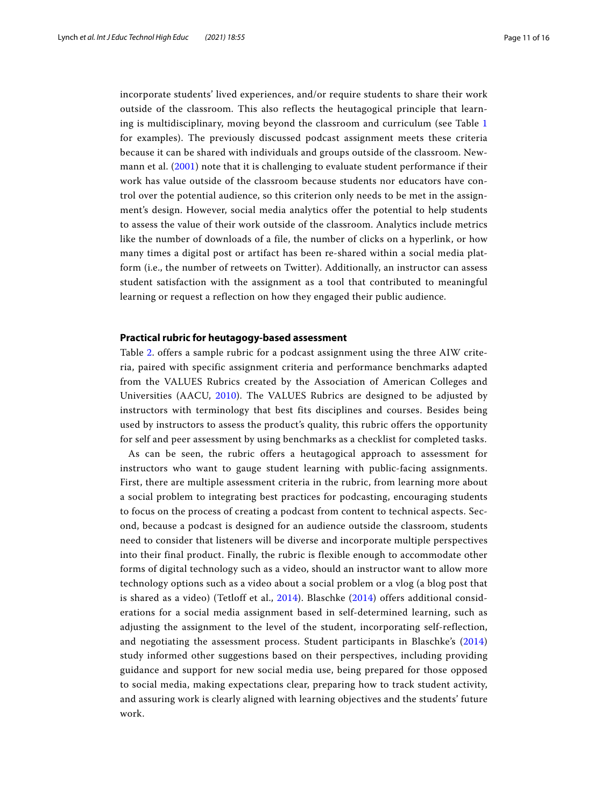incorporate students' lived experiences, and/or require students to share their work outside of the classroom. This also reflects the heutagogical principle that learning is multidisciplinary, moving beyond the classroom and curriculum (see Table [1](#page-6-0) for examples). The previously discussed podcast assignment meets these criteria because it can be shared with individuals and groups outside of the classroom. Newmann et al. ([2001](#page-15-23)) note that it is challenging to evaluate student performance if their work has value outside of the classroom because students nor educators have control over the potential audience, so this criterion only needs to be met in the assignment's design. However, social media analytics offer the potential to help students to assess the value of their work outside of the classroom. Analytics include metrics like the number of downloads of a file, the number of clicks on a hyperlink, or how many times a digital post or artifact has been re-shared within a social media platform (i.e., the number of retweets on Twitter). Additionally, an instructor can assess student satisfaction with the assignment as a tool that contributed to meaningful learning or request a reflection on how they engaged their public audience.

## **Practical rubric for heutagogy‑based assessment**

Table [2.](#page-11-0) offers a sample rubric for a podcast assignment using the three AIW criteria, paired with specific assignment criteria and performance benchmarks adapted from the VALUES Rubrics created by the Association of American Colleges and Universities (AACU, [2010\)](#page-14-21). The VALUES Rubrics are designed to be adjusted by instructors with terminology that best fits disciplines and courses. Besides being used by instructors to assess the product's quality, this rubric offers the opportunity for self and peer assessment by using benchmarks as a checklist for completed tasks.

As can be seen, the rubric offers a heutagogical approach to assessment for instructors who want to gauge student learning with public-facing assignments. First, there are multiple assessment criteria in the rubric, from learning more about a social problem to integrating best practices for podcasting, encouraging students to focus on the process of creating a podcast from content to technical aspects. Second, because a podcast is designed for an audience outside the classroom, students need to consider that listeners will be diverse and incorporate multiple perspectives into their final product. Finally, the rubric is flexible enough to accommodate other forms of digital technology such as a video, should an instructor want to allow more technology options such as a video about a social problem or a vlog (a blog post that is shared as a video) (Tetloff et al., [2014\)](#page-15-26). Blaschke ([2014\)](#page-14-16) offers additional considerations for a social media assignment based in self-determined learning, such as adjusting the assignment to the level of the student, incorporating self-reflection, and negotiating the assessment process. Student participants in Blaschke's ([2014](#page-14-16)) study informed other suggestions based on their perspectives, including providing guidance and support for new social media use, being prepared for those opposed to social media, making expectations clear, preparing how to track student activity, and assuring work is clearly aligned with learning objectives and the students' future work.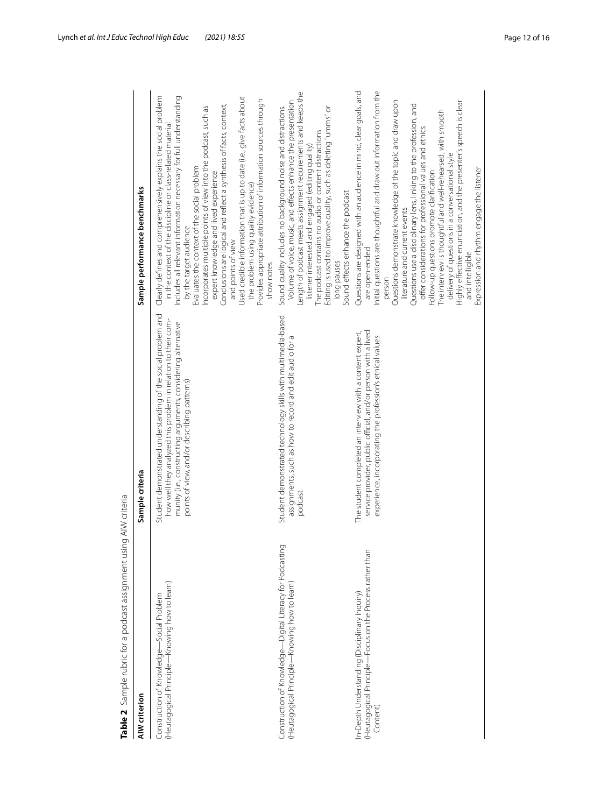| Table 2 Sample rubric for a podcast assignment using AIW criteria                                                     |                                                                                                                                                                                                                                               |                                                                                                                                                                                                                                                                                                                                                                                                                                                                                                                                                                                                                                                                                                         |
|-----------------------------------------------------------------------------------------------------------------------|-----------------------------------------------------------------------------------------------------------------------------------------------------------------------------------------------------------------------------------------------|---------------------------------------------------------------------------------------------------------------------------------------------------------------------------------------------------------------------------------------------------------------------------------------------------------------------------------------------------------------------------------------------------------------------------------------------------------------------------------------------------------------------------------------------------------------------------------------------------------------------------------------------------------------------------------------------------------|
| AIW criterion                                                                                                         | Sample criteria                                                                                                                                                                                                                               | Sample performance benchmarks                                                                                                                                                                                                                                                                                                                                                                                                                                                                                                                                                                                                                                                                           |
| (Heutagogical Principle—Knowing how to learn)<br>Construction of Knowledge—Social Problem                             | Student demonstrated understanding of the social problem and<br>how well they analyzed this problem in relation to their com-<br>munity (i.e., constructing arguments, considering alternative<br>points of view, and/or describing patterns) | Clearly defines and comprehensively explains the social problem<br>Includes all relevant information necessary for full understanding<br>Used credible information that is up to date (i.e., give facts about<br>Provides appropriate attribution of information sources through<br>Conclusions are logical and reflect a synthesis of facts, context,<br>Incorporates multiple points of view into the podcast, such as<br>in the context of the discipline or class-related material<br>Evaluates the context of the social problem<br>expert knowledge and lived experience<br>the problem using quality evidence)<br>by the target audience<br>and points of view<br>show notes                     |
| Construction of Knowledge—Digital Literacy for Podcasting<br>(Heutagogical Principle—Knowing how to learn)            | Student demonstrated technology skills with multimedia-based<br>assignments, such as how to record and edit audio for a<br>podcast                                                                                                            | Length of podcast meets assignment requirements and keeps the<br>Volume of voice, music, and effects enhance the presentation<br>Sound quality includes no background noise and distractions.<br>Editing is used to improve quality, such as deleting "umms" or<br>The podcast contains no audio or content distractions<br>listener interested and engaged (editing quality)<br>Sound effects enhance the podcast<br>long pauses                                                                                                                                                                                                                                                                       |
| (Heutagogical Principle—Focus on the Process rather than<br>In-Depth Understanding (Disciplinary Inquiry)<br>Content) | The student completed an interview with a content expert,<br>service provider, public official, and/or person with a lived<br>experience, incorporating the profession's ethical values                                                       | Initial questions are thoughtful and draw out information from the<br>Questions are designed with an audience in mind, clear goals, and<br>Questions demonstrate knowledge of the topic and draw upon<br>Highly effective enunciation, and the presenter's speech is clear<br>Questions use a disciplinary lens, linking to the profession, and<br>The interview is thoughtful and well-rehearsed, with smooth<br>offer considerations for professional values and ethics<br>delivery of questions in a conversational style<br>Expression and rhythm engage the listener<br>Follow-up questions promote clarification<br>literature and current events<br>are open-ended<br>and intelligible<br>person |
|                                                                                                                       |                                                                                                                                                                                                                                               |                                                                                                                                                                                                                                                                                                                                                                                                                                                                                                                                                                                                                                                                                                         |

<span id="page-11-0"></span>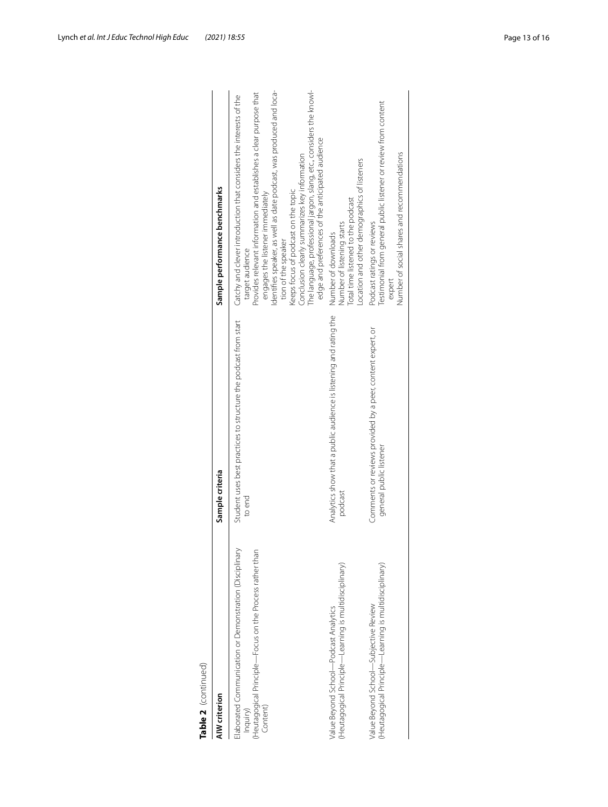| i |  |
|---|--|
|   |  |
|   |  |
|   |  |
|   |  |
|   |  |
|   |  |
|   |  |
|   |  |
|   |  |
|   |  |
|   |  |
|   |  |
|   |  |
|   |  |
|   |  |
|   |  |
| ŗ |  |
|   |  |
|   |  |
| ť |  |
|   |  |
|   |  |
|   |  |
|   |  |
| l |  |
|   |  |
|   |  |

| Table 2  (continued)<br>AIW criterion                                                                                                      | Sample criteria                                                                       |                                                                                                                                                                                                                                                                                                                                                                                                                                                                                                                   |
|--------------------------------------------------------------------------------------------------------------------------------------------|---------------------------------------------------------------------------------------|-------------------------------------------------------------------------------------------------------------------------------------------------------------------------------------------------------------------------------------------------------------------------------------------------------------------------------------------------------------------------------------------------------------------------------------------------------------------------------------------------------------------|
|                                                                                                                                            |                                                                                       | Sample performance benchmarks                                                                                                                                                                                                                                                                                                                                                                                                                                                                                     |
| Elaborated Communication or Demonstration (Disciplinary<br>Heutagogical Principle—Focus on the Process rather than<br>Content)<br>Inquiry) | Student uses best practices to structure the podcast from start<br>to end             | The language, professional jargon, slang, etc., considers the knowl-<br>Identifies speaker, as well as date podcast, was produced and loca-<br>Provides relevant information and establishes a clear purpose that<br>Catchy and clever introduction that considers the interests of the<br>edge and preferences of the anticipated audience<br>Conclusion clearly summarizes key information<br>Keeps focus of podcast on the topic<br>engages the listener immediately<br>tion of the speaker<br>target audience |
| (Heutagogical Principle—Learning is multidisciplinary)<br>Value Beyond School-Podcast Analytics                                            | Analytics show that a public audience is listening and rating the<br>podcast          | -ocation and other demographics of listeners<br>Total time listened to the podcast<br>Number of listening starts<br>Number of downloads                                                                                                                                                                                                                                                                                                                                                                           |
| Heutagogical Principle—Learning is multidisciplinary)<br>Value Beyond School-Subjective Review                                             | Comments or reviews provided by a peer, content expert, or<br>general public listener | Testimonial from general public listener or review from content<br>Number of social shares and recommendations<br>Podcast ratings or reviews<br>expert                                                                                                                                                                                                                                                                                                                                                            |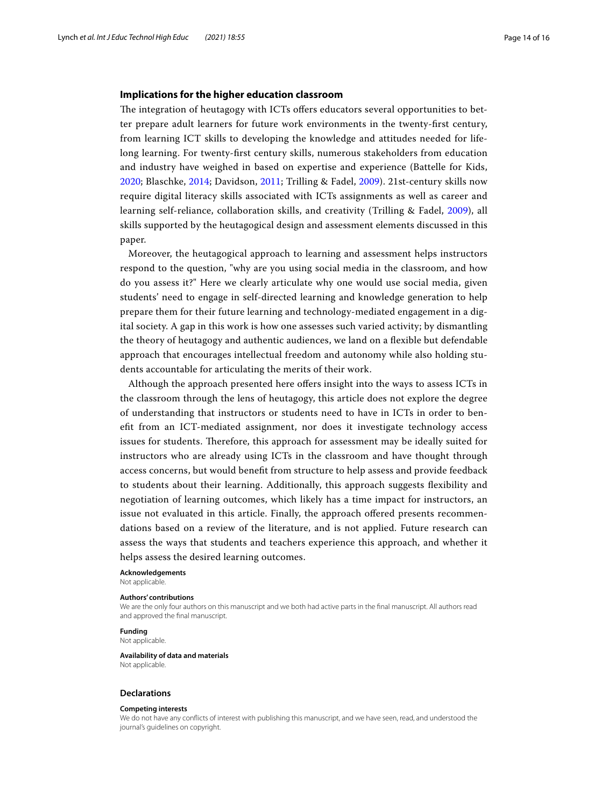## **Implications for the higher education classroom**

The integration of heutagogy with ICTs offers educators several opportunities to better prepare adult learners for future work environments in the twenty-frst century, from learning ICT skills to developing the knowledge and attitudes needed for lifelong learning. For twenty-frst century skills, numerous stakeholders from education and industry have weighed in based on expertise and experience (Battelle for Kids, [2020;](#page-14-22) Blaschke, [2014](#page-14-16); Davidson, [2011](#page-14-23); Trilling & Fadel, [2009\)](#page-15-27). 21st-century skills now require digital literacy skills associated with ICTs assignments as well as career and learning self-reliance, collaboration skills, and creativity (Trilling & Fadel, [2009\)](#page-15-27), all skills supported by the heutagogical design and assessment elements discussed in this paper.

Moreover, the heutagogical approach to learning and assessment helps instructors respond to the question, "why are you using social media in the classroom, and how do you assess it?" Here we clearly articulate why one would use social media, given students' need to engage in self-directed learning and knowledge generation to help prepare them for their future learning and technology-mediated engagement in a digital society. A gap in this work is how one assesses such varied activity; by dismantling the theory of heutagogy and authentic audiences, we land on a fexible but defendable approach that encourages intellectual freedom and autonomy while also holding students accountable for articulating the merits of their work.

Although the approach presented here ofers insight into the ways to assess ICTs in the classroom through the lens of heutagogy, this article does not explore the degree of understanding that instructors or students need to have in ICTs in order to beneft from an ICT-mediated assignment, nor does it investigate technology access issues for students. Therefore, this approach for assessment may be ideally suited for instructors who are already using ICTs in the classroom and have thought through access concerns, but would beneft from structure to help assess and provide feedback to students about their learning. Additionally, this approach suggests fexibility and negotiation of learning outcomes, which likely has a time impact for instructors, an issue not evaluated in this article. Finally, the approach ofered presents recommendations based on a review of the literature, and is not applied. Future research can assess the ways that students and teachers experience this approach, and whether it helps assess the desired learning outcomes.

**Acknowledgements**

Not applicable.

#### **Authors' contributions**

We are the only four authors on this manuscript and we both had active parts in the fnal manuscript. All authors read and approved the fnal manuscript.

#### **Funding**

Not applicable.

#### **Availability of data and materials** Not applicable.

**Declarations**

# **Competing interests**

We do not have any conficts of interest with publishing this manuscript, and we have seen, read, and understood the journal's guidelines on copyright.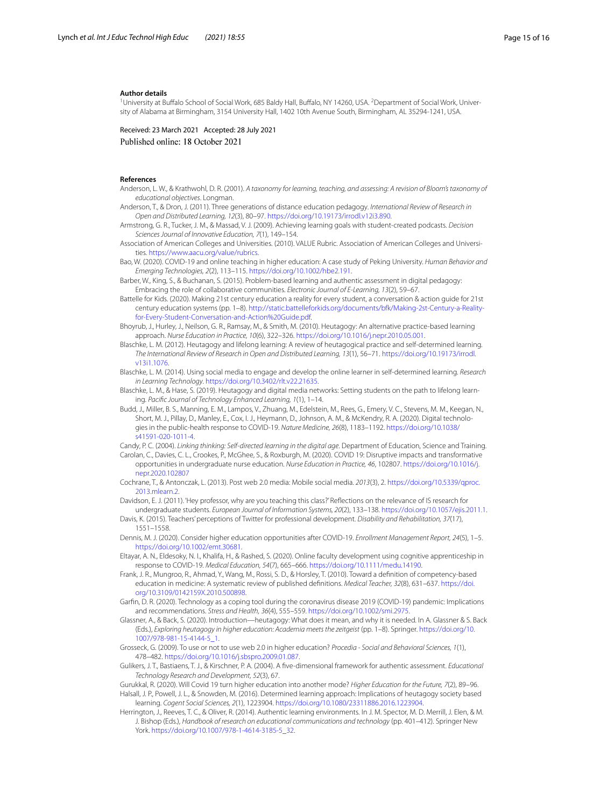#### **Author details**

<sup>1</sup> University at Buffalo School of Social Work, 685 Baldy Hall, Buffalo, NY 14260, USA. <sup>2</sup> Department of Social Work, University of Alabama at Birmingham, 3154 University Hall, 1402 10th Avenue South, Birmingham, AL 35294-1241, USA.

Received: 23 March 2021 Accepted: 28 July 2021 Published online: 18 October 2021

#### **References**

- Anderson, L. W., & Krathwohl, D. R. (2001). *A taxonomy for learning, teaching, and assessing: A revision of Bloom's taxonomy of educational objectives*. Longman.
- Anderson, T., & Dron, J. (2011). Three generations of distance education pedagogy. *International Review of Research in Open and Distributed Learning, 12*(3), 80–97. [https://doi.org/10.19173/irrodl.v12i3.890.](https://doi.org/10.19173/irrodl.v12i3.890)
- Armstrong, G. R., Tucker, J. M., & Massad, V. J. (2009). Achieving learning goals with student-created podcasts. *Decision Sciences Journal of Innovative Education, 7*(1), 149–154.
- <span id="page-14-21"></span>Association of American Colleges and Universities. (2010). VALUE Rubric. Association of American Colleges and Universities. <https://www.aacu.org/value/rubrics>.
- <span id="page-14-9"></span>Bao, W. (2020). COVID-19 and online teaching in higher education: A case study of Peking University. *Human Behavior and Emerging Technologies, 2*(2), 113–115. [https://doi.org/10.1002/hbe2.191.](https://doi.org/10.1002/hbe2.191)
- <span id="page-14-20"></span>Barber, W., King, S., & Buchanan, S. (2015). Problem-based learning and authentic assessment in digital pedagogy: Embracing the role of collaborative communities. *Electronic Journal of E-Learning, 13*(2), 59–67.
- <span id="page-14-22"></span>Battelle for Kids. (2020). Making 21st century education a reality for every student, a conversation & action guide for 21st century education systems (pp. 1–8). [http://static.battelleforkids.org/documents/bfk/Making-2st-Century-a-Reality](http://static.battelleforkids.org/documents/bfk/Making-2st-Century-a-Reality-for-Every-Student-Conversation-and-Action%20Guide.pdf)[for-Every-Student-Conversation-and-Action%20Guide.pdf](http://static.battelleforkids.org/documents/bfk/Making-2st-Century-a-Reality-for-Every-Student-Conversation-and-Action%20Guide.pdf).
- <span id="page-14-15"></span>Bhoyrub, J., Hurley, J., Neilson, G. R., Ramsay, M., & Smith, M. (2010). Heutagogy: An alternative practice-based learning approach. *Nurse Education in Practice, 10*(6), 322–326.<https://doi.org/10.1016/j.nepr.2010.05.001>.
- <span id="page-14-12"></span>Blaschke, L. M. (2012). Heutagogy and lifelong learning: A review of heutagogical practice and self-determined learning. *The International Review of Research in Open and Distributed Learning, 13*(1), 56–71. [https://doi.org/10.19173/irrodl.](https://doi.org/10.19173/irrodl.v13i1.1076) [v13i1.1076.](https://doi.org/10.19173/irrodl.v13i1.1076)
- <span id="page-14-16"></span>Blaschke, L. M. (2014). Using social media to engage and develop the online learner in self-determined learning. *Research in Learning Technology*. <https://doi.org/10.3402/rlt.v22.21635>.
- <span id="page-14-11"></span>Blaschke, L. M., & Hase, S. (2019). Heutagogy and digital media networks: Setting students on the path to lifelong learning. *Pacifc Journal of Technology Enhanced Learning, 1*(1), 1–14.
- <span id="page-14-7"></span>Budd, J., Miller, B. S., Manning, E. M., Lampos, V., Zhuang, M., Edelstein, M., Rees, G., Emery, V. C., Stevens, M. M., Keegan, N., Short, M. J., Pillay, D., Manley, E., Cox, I. J., Heymann, D., Johnson, A. M., & McKendry, R. A. (2020). Digital technologies in the public-health response to COVID-19. *Nature Medicine, 26*(8), 1183–1192. [https://doi.org/10.1038/](https://doi.org/10.1038/s41591-020-1011-4) [s41591-020-1011-4.](https://doi.org/10.1038/s41591-020-1011-4)

<span id="page-14-19"></span><span id="page-14-6"></span>Candy, P. C. (2004). *Linking thinking: Self-directed learning in the digital age*. Department of Education, Science and Training. Carolan, C., Davies, C. L., Crookes, P., McGhee, S., & Roxburgh, M. (2020). COVID 19: Disruptive impacts and transformative

- opportunities in undergraduate nurse education. *Nurse Education in Practice, 46*, 102807. [https://doi.org/10.1016/j.](https://doi.org/10.1016/j.nepr.2020.102807) [nepr.2020.102807](https://doi.org/10.1016/j.nepr.2020.102807)
- <span id="page-14-2"></span>Cochrane, T., & Antonczak, L. (2013). Post web 2.0 media: Mobile social media. *2013*(3), 2. [https://doi.org/10.5339/qproc.](https://doi.org/10.5339/qproc.2013.mlearn.2) [2013.mlearn.2.](https://doi.org/10.5339/qproc.2013.mlearn.2)

<span id="page-14-23"></span>Davidson, E. J. (2011). 'Hey professor, why are you teaching this class?' Refections on the relevance of IS research for

- <span id="page-14-18"></span>undergraduate students. *European Journal of Information Systems, 20*(2), 133–138. <https://doi.org/10.1057/ejis.2011.1>. Davis, K. (2015). Teachers' perceptions of Twitter for professional development. *Disability and Rehabilitation, 37*(17), 1551–1558.
- <span id="page-14-4"></span>Dennis, M. J. (2020). Consider higher education opportunities after COVID-19. *Enrollment Management Report, 24*(5), 1–5. <https://doi.org/10.1002/emt.30681>.
- <span id="page-14-5"></span>Eltayar, A. N., Eldesoky, N. I., Khalifa, H., & Rashed, S. (2020). Online faculty development using cognitive apprenticeship in response to COVID-19. *Medical Education, 54*(7), 665–666. [https://doi.org/10.1111/medu.14190.](https://doi.org/10.1111/medu.14190)
- <span id="page-14-13"></span>Frank, J. R., Mungroo, R., Ahmad, Y., Wang, M., Rossi, S. D., & Horsley, T. (2010). Toward a defnition of competency-based education in medicine: A systematic review of published defnitions. *Medical Teacher, 32*(8), 631–637. [https://doi.](https://doi.org/10.3109/0142159X.2010.500898) [org/10.3109/0142159X.2010.500898](https://doi.org/10.3109/0142159X.2010.500898).
- <span id="page-14-8"></span>Garfn, D. R. (2020). Technology as a coping tool during the coronavirus disease 2019 (COVID-19) pandemic: Implications and recommendations. *Stress and Health, 36*(4), 555–559.<https://doi.org/10.1002/smi.2975>.
- <span id="page-14-14"></span>Glassner, A., & Back, S. (2020). Introduction—heutagogy: What does it mean, and why it is needed. In A. Glassner & S. Back (Eds.), *Exploring heutagogy in higher education: Academia meets the zeitgeist* (pp. 1–8). Springer. [https://doi.org/10.](https://doi.org/10.1007/978-981-15-4144-5_1) [1007/978-981-15-4144-5\\_1.](https://doi.org/10.1007/978-981-15-4144-5_1)
- <span id="page-14-3"></span>Grosseck, G. (2009). To use or not to use web 2.0 in higher education? *Procedia - Social and Behavioral Sciences, 1*(1), 478–482. [https://doi.org/10.1016/j.sbspro.2009.01.087.](https://doi.org/10.1016/j.sbspro.2009.01.087)
- <span id="page-14-0"></span>Gulikers, J. T., Bastiaens, T. J., & Kirschner, P. A. (2004). A fve-dimensional framework for authentic assessment. *Educational Technology Research and Development, 52*(3), 67.
- <span id="page-14-17"></span><span id="page-14-10"></span>Gurukkal, R. (2020). Will Covid 19 turn higher education into another mode? *Higher Education for the Future, 7*(2), 89–96. Halsall, J. P., Powell, J. L., & Snowden, M. (2016). Determined learning approach: Implications of heutagogy society based learning. *Cogent Social Sciences, 2*(1), 1223904.<https://doi.org/10.1080/23311886.2016.1223904>.
- <span id="page-14-1"></span>Herrington, J., Reeves, T. C., & Oliver, R. (2014). Authentic learning environments. In J. M. Spector, M. D. Merrill, J. Elen, & M. J. Bishop (Eds.), *Handbook of research on educational communications and technology* (pp. 401–412). Springer New York. [https://doi.org/10.1007/978-1-4614-3185-5\\_32.](https://doi.org/10.1007/978-1-4614-3185-5_32)